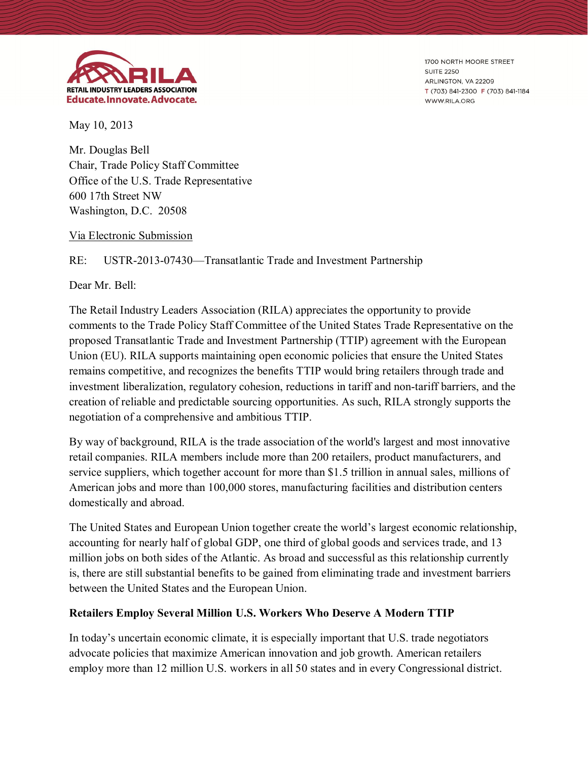

1700 NORTH MOORE STREET **SUITE 2250** ARLINGTON, VA 22209 T (703) 841-2300 F (703) 841-1184 WWW.RILA.ORG

May 10, 2013

Mr. Douglas Bell Chair, Trade Policy Staff Committee Office of the U.S. Trade Representative 600 17th Street NW Washington, D.C. 20508

### Via Electronic Submission

RE: USTR-2013-07430—Transatlantic Trade and Investment Partnership

Dear Mr. Bell:

The Retail Industry Leaders Association (RILA) appreciates the opportunity to provide comments to the Trade Policy Staff Committee of the United States Trade Representative on the proposed Transatlantic Trade and Investment Partnership (TTIP) agreement with the European Union (EU). RILA supports maintaining open economic policies that ensure the United States remains competitive, and recognizes the benefits TTIP would bring retailers through trade and investment liberalization, regulatory cohesion, reductions in tariff and non-tariff barriers, and the creation of reliable and predictable sourcing opportunities. As such, RILA strongly supports the negotiation of a comprehensive and ambitious TTIP.

By way of background, RILA is the trade association of the world's largest and most innovative retail companies. RILA members include more than 200 retailers, product manufacturers, and service suppliers, which together account for more than \$1.5 trillion in annual sales, millions of American jobs and more than 100,000 stores, manufacturing facilities and distribution centers domestically and abroad.

The United States and European Union together create the world's largest economic relationship, accounting for nearly half of global GDP, one third of global goods and services trade, and 13 million jobs on both sides of the Atlantic. As broad and successful as this relationship currently is, there are still substantial benefits to be gained from eliminating trade and investment barriers between the United States and the European Union.

### **Retailers Employ Several Million U.S. Workers Who Deserve A Modern TTIP**

In today's uncertain economic climate, it is especially important that U.S. trade negotiators advocate policies that maximize American innovation and job growth. American retailers employ more than 12 million U.S. workers in all 50 states and in every Congressional district.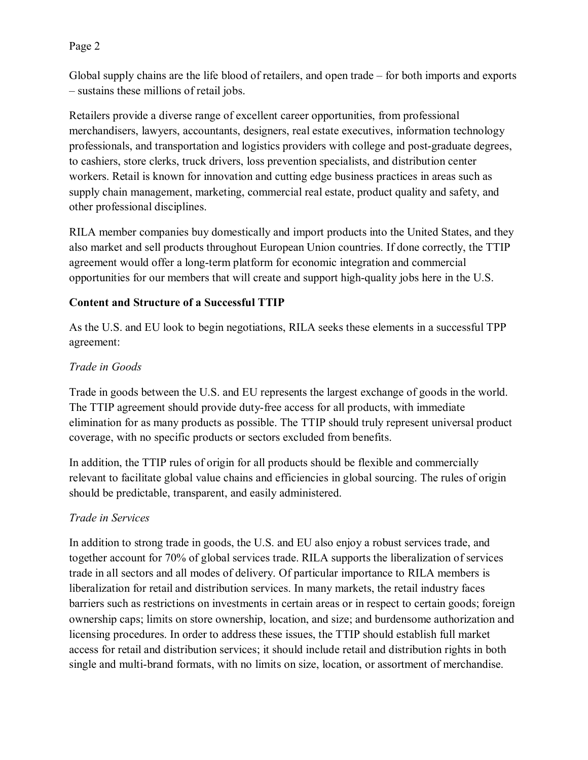## Page 2

Global supply chains are the life blood of retailers, and open trade – for both imports and exports – sustains these millions of retail jobs.

Retailers provide a diverse range of excellent career opportunities, from professional merchandisers, lawyers, accountants, designers, real estate executives, information technology professionals, and transportation and logistics providers with college and post-graduate degrees, to cashiers, store clerks, truck drivers, loss prevention specialists, and distribution center workers. Retail is known for innovation and cutting edge business practices in areas such as supply chain management, marketing, commercial real estate, product quality and safety, and other professional disciplines.

RILA member companies buy domestically and import products into the United States, and they also market and sell products throughout European Union countries. If done correctly, the TTIP agreement would offer a long-term platform for economic integration and commercial opportunities for our members that will create and support high-quality jobs here in the U.S.

## **Content and Structure of a Successful TTIP**

As the U.S. and EU look to begin negotiations, RILA seeks these elements in a successful TPP agreement:

# *Trade in Goods*

Trade in goods between the U.S. and EU represents the largest exchange of goods in the world. The TTIP agreement should provide duty-free access for all products, with immediate elimination for as many products as possible. The TTIP should truly represent universal product coverage, with no specific products or sectors excluded from benefits.

In addition, the TTIP rules of origin for all products should be flexible and commercially relevant to facilitate global value chains and efficiencies in global sourcing. The rules of origin should be predictable, transparent, and easily administered.

# *Trade in Services*

In addition to strong trade in goods, the U.S. and EU also enjoy a robust services trade, and together account for 70% of global services trade. RILA supports the liberalization of services trade in all sectors and all modes of delivery. Of particular importance to RILA members is liberalization for retail and distribution services. In many markets, the retail industry faces barriers such as restrictions on investments in certain areas or in respect to certain goods; foreign ownership caps; limits on store ownership, location, and size; and burdensome authorization and licensing procedures. In order to address these issues, the TTIP should establish full market access for retail and distribution services; it should include retail and distribution rights in both single and multi-brand formats, with no limits on size, location, or assortment of merchandise.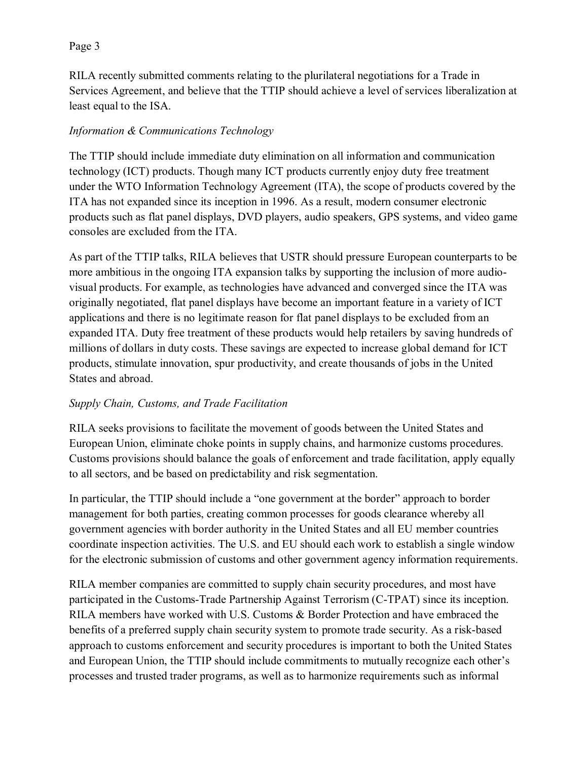## Page 3

RILA recently submitted comments relating to the plurilateral negotiations for a Trade in Services Agreement, and believe that the TTIP should achieve a level of services liberalization at least equal to the ISA.

# *Information & Communications Technology*

The TTIP should include immediate duty elimination on all information and communication technology (ICT) products. Though many ICT products currently enjoy duty free treatment under the WTO Information Technology Agreement (ITA), the scope of products covered by the ITA has not expanded since its inception in 1996. As a result, modern consumer electronic products such as flat panel displays, DVD players, audio speakers, GPS systems, and video game consoles are excluded from the ITA.

As part of the TTIP talks, RILA believes that USTR should pressure European counterparts to be more ambitious in the ongoing ITA expansion talks by supporting the inclusion of more audiovisual products. For example, as technologies have advanced and converged since the ITA was originally negotiated, flat panel displays have become an important feature in a variety of ICT applications and there is no legitimate reason for flat panel displays to be excluded from an expanded ITA. Duty free treatment of these products would help retailers by saving hundreds of millions of dollars in duty costs. These savings are expected to increase global demand for ICT products, stimulate innovation, spur productivity, and create thousands of jobs in the United States and abroad.

## *Supply Chain, Customs, and Trade Facilitation*

RILA seeks provisions to facilitate the movement of goods between the United States and European Union, eliminate choke points in supply chains, and harmonize customs procedures. Customs provisions should balance the goals of enforcement and trade facilitation, apply equally to all sectors, and be based on predictability and risk segmentation.

In particular, the TTIP should include a "one government at the border" approach to border management for both parties, creating common processes for goods clearance whereby all government agencies with border authority in the United States and all EU member countries coordinate inspection activities. The U.S. and EU should each work to establish a single window for the electronic submission of customs and other government agency information requirements.

RILA member companies are committed to supply chain security procedures, and most have participated in the Customs-Trade Partnership Against Terrorism (C-TPAT) since its inception. RILA members have worked with U.S. Customs & Border Protection and have embraced the benefits of a preferred supply chain security system to promote trade security. As a risk-based approach to customs enforcement and security procedures is important to both the United States and European Union, the TTIP should include commitments to mutually recognize each other's processes and trusted trader programs, as well as to harmonize requirements such as informal